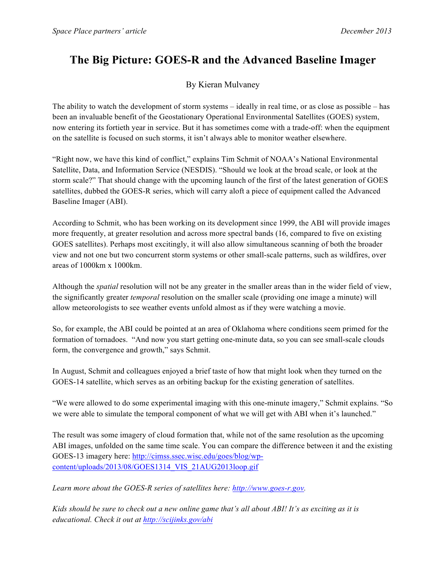## **The Big Picture: GOES-R and the Advanced Baseline Imager**

## By Kieran Mulvaney

The ability to watch the development of storm systems – ideally in real time, or as close as possible – has been an invaluable benefit of the Geostationary Operational Environmental Satellites (GOES) system, now entering its fortieth year in service. But it has sometimes come with a trade-off: when the equipment on the satellite is focused on such storms, it isn't always able to monitor weather elsewhere.

"Right now, we have this kind of conflict," explains Tim Schmit of NOAA's National Environmental Satellite, Data, and Information Service (NESDIS). "Should we look at the broad scale, or look at the storm scale?" That should change with the upcoming launch of the first of the latest generation of GOES satellites, dubbed the GOES-R series, which will carry aloft a piece of equipment called the Advanced Baseline Imager (ABI).

According to Schmit, who has been working on its development since 1999, the ABI will provide images more frequently, at greater resolution and across more spectral bands (16, compared to five on existing GOES satellites). Perhaps most excitingly, it will also allow simultaneous scanning of both the broader view and not one but two concurrent storm systems or other small-scale patterns, such as wildfires, over areas of 1000km x 1000km.

Although the *spatial* resolution will not be any greater in the smaller areas than in the wider field of view, the significantly greater *temporal* resolution on the smaller scale (providing one image a minute) will allow meteorologists to see weather events unfold almost as if they were watching a movie.

So, for example, the ABI could be pointed at an area of Oklahoma where conditions seem primed for the formation of tornadoes. "And now you start getting one-minute data, so you can see small-scale clouds form, the convergence and growth," says Schmit.

In August, Schmit and colleagues enjoyed a brief taste of how that might look when they turned on the GOES-14 satellite, which serves as an orbiting backup for the existing generation of satellites.

"We were allowed to do some experimental imaging with this one-minute imagery," Schmit explains. "So we were able to simulate the temporal component of what we will get with ABI when it's launched."

The result was some imagery of cloud formation that, while not of the same resolution as the upcoming ABI images, unfolded on the same time scale. You can compare the difference between it and the existing GOES-13 imagery here: http://cimss.ssec.wisc.edu/goes/blog/wpcontent/uploads/2013/08/GOES1314\_VIS\_21AUG2013loop.gif

*Learn more about the GOES-R series of satellites here: http://www.goes-r.gov.*

*Kids should be sure to check out a new online game that's all about ABI! It's as exciting as it is educational. Check it out at http://scijinks.gov/abi*